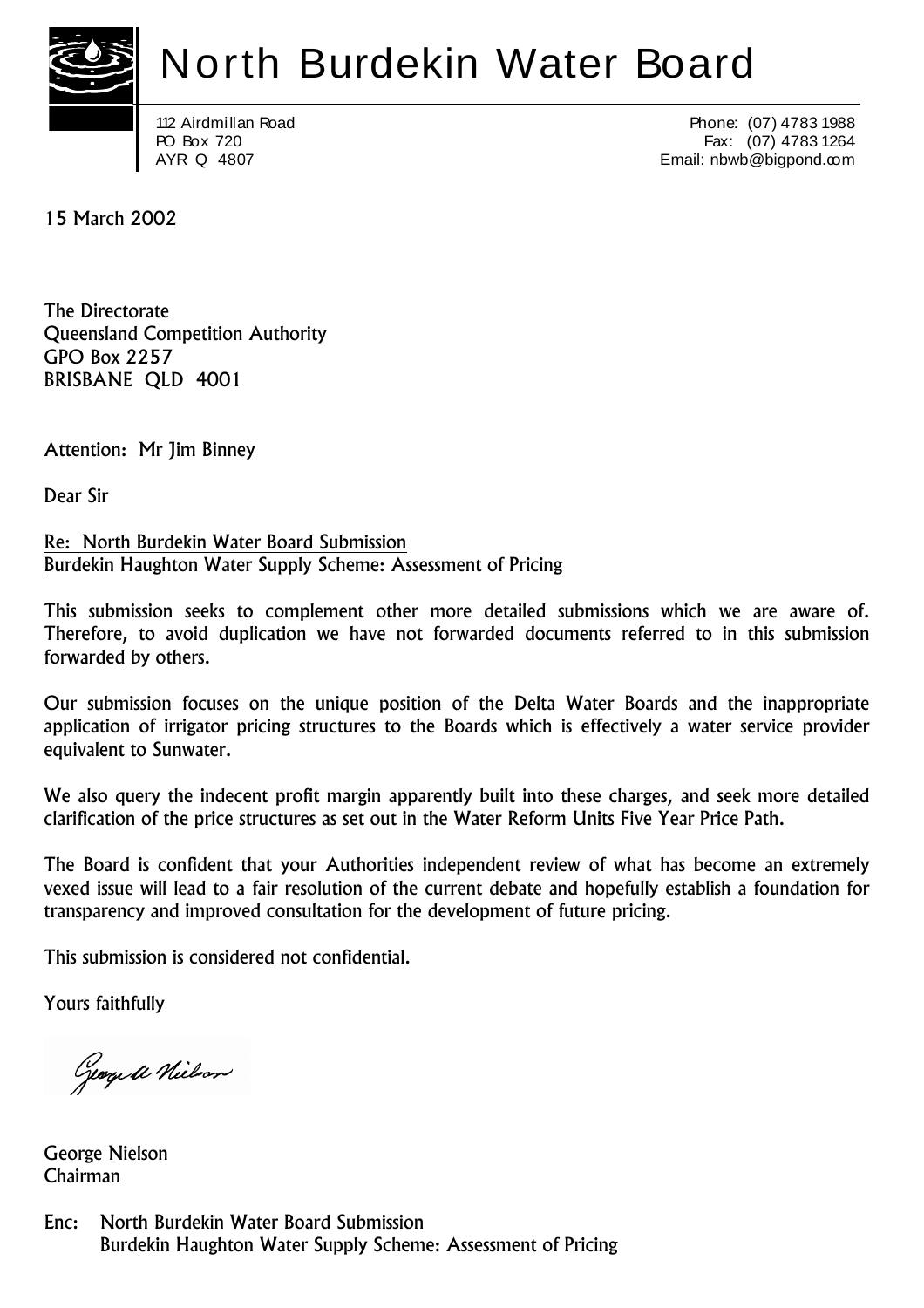

### North Burdekin Water Board

112 Airdmillan Road PO Box 720 AYR Q 4807

Phone: (07) 4783 1988 Fax: (07) 4783 1264 Email: nbwb@bigpond.com

15 March 2002

The Directorate Queensland Competition Authority GPO Box 2257 BRISBANE QLD 4001

Attention: Mr Jim Binney

Dear Sir

Re: North Burdekin Water Board Submission Burdekin Haughton Water Supply Scheme: Assessment of Pricing

This submission seeks to complement other more detailed submissions which we are aware of. Therefore, to avoid duplication we have not forwarded documents referred to in this submission forwarded by others.

Our submission focuses on the unique position of the Delta Water Boards and the inappropriate application of irrigator pricing structures to the Boards which is effectively a water service provider equivalent to Sunwater.

We also query the indecent profit margin apparently built into these charges, and seek more detailed clarification of the price structures as set out in the Water Reform Units Five Year Price Path.

The Board is confident that your Authorities independent review of what has become an extremely vexed issue will lead to a fair resolution of the current debate and hopefully establish a foundation for transparency and improved consultation for the development of future pricing.

This submission is considered not confidential.

Yours faithfully

George a Nielson

George Nielson Chairman

Enc: North Burdekin Water Board Submission Burdekin Haughton Water Supply Scheme: Assessment of Pricing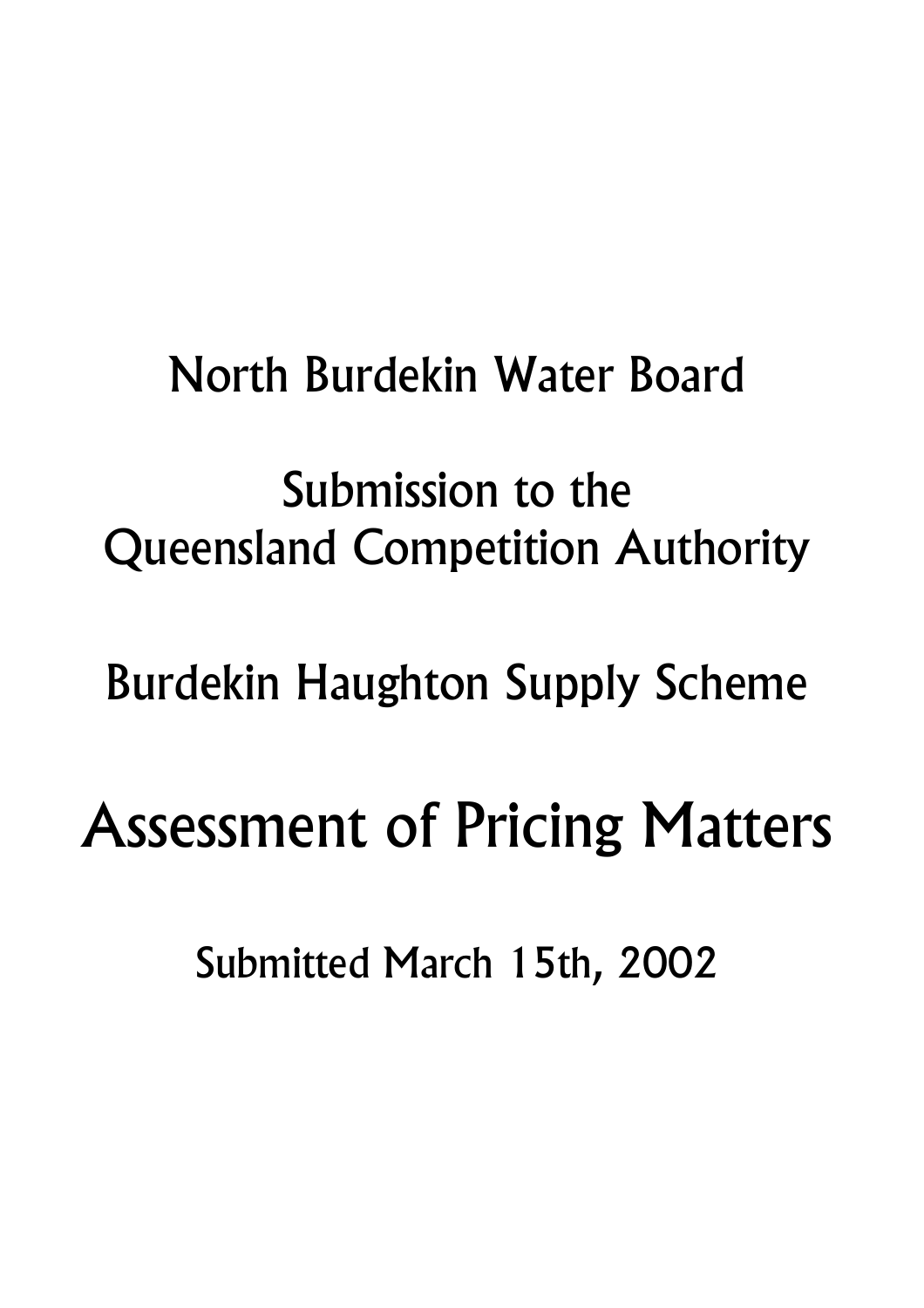### North Burdekin Water Board

## Submission to the Queensland Competition Authority

## Burdekin Haughton Supply Scheme

# Assessment of Pricing Matters

Submitted March 15th, 2002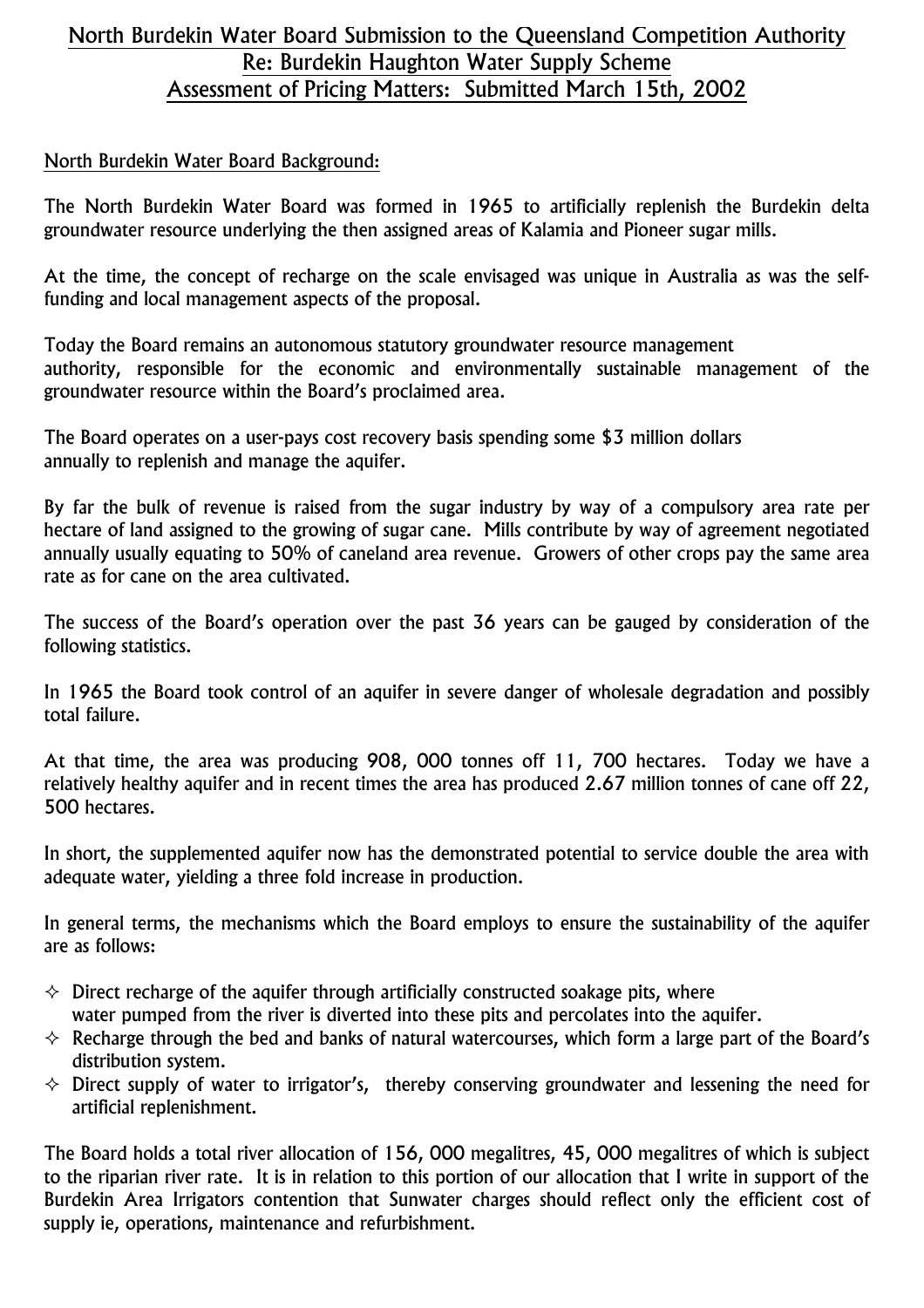#### North Burdekin Water Board Submission to the Queensland Competition Authority Re: Burdekin Haughton Water Supply Scheme Assessment of Pricing Matters: Submitted March 15th, 2002

#### North Burdekin Water Board Background:

The North Burdekin Water Board was formed in 1965 to artificially replenish the Burdekin delta groundwater resource underlying the then assigned areas of Kalamia and Pioneer sugar mills.

At the time, the concept of recharge on the scale envisaged was unique in Australia as was the selffunding and local management aspects of the proposal.

Today the Board remains an autonomous statutory groundwater resource management authority, responsible for the economic and environmentally sustainable management of the groundwater resource within the Board's proclaimed area.

The Board operates on a user-pays cost recovery basis spending some \$3 million dollars annually to replenish and manage the aquifer.

By far the bulk of revenue is raised from the sugar industry by way of a compulsory area rate per hectare of land assigned to the growing of sugar cane. Mills contribute by way of agreement negotiated annually usually equating to 50% of caneland area revenue. Growers of other crops pay the same area rate as for cane on the area cultivated.

The success of the Board's operation over the past 36 years can be gauged by consideration of the following statistics.

In 1965 the Board took control of an aquifer in severe danger of wholesale degradation and possibly total failure.

At that time, the area was producing 908, 000 tonnes off 11, 700 hectares. Today we have a relatively healthy aquifer and in recent times the area has produced 2.67 million tonnes of cane off 22, 500 hectares.

In short, the supplemented aquifer now has the demonstrated potential to service double the area with adequate water, yielding a three fold increase in production.

In general terms, the mechanisms which the Board employs to ensure the sustainability of the aquifer are as follows:

- $\Diamond$  Direct recharge of the aquifer through artificially constructed soakage pits, where water pumped from the river is diverted into these pits and percolates into the aquifer.
- $\Diamond$  Recharge through the bed and banks of natural watercourses, which form a large part of the Board's distribution system.
- $\Diamond$  Direct supply of water to irrigator's, thereby conserving groundwater and lessening the need for artificial replenishment.

The Board holds a total river allocation of 156, 000 megalitres, 45, 000 megalitres of which is subject to the riparian river rate. It is in relation to this portion of our allocation that I write in support of the Burdekin Area Irrigators contention that Sunwater charges should reflect only the efficient cost of supply ie, operations, maintenance and refurbishment.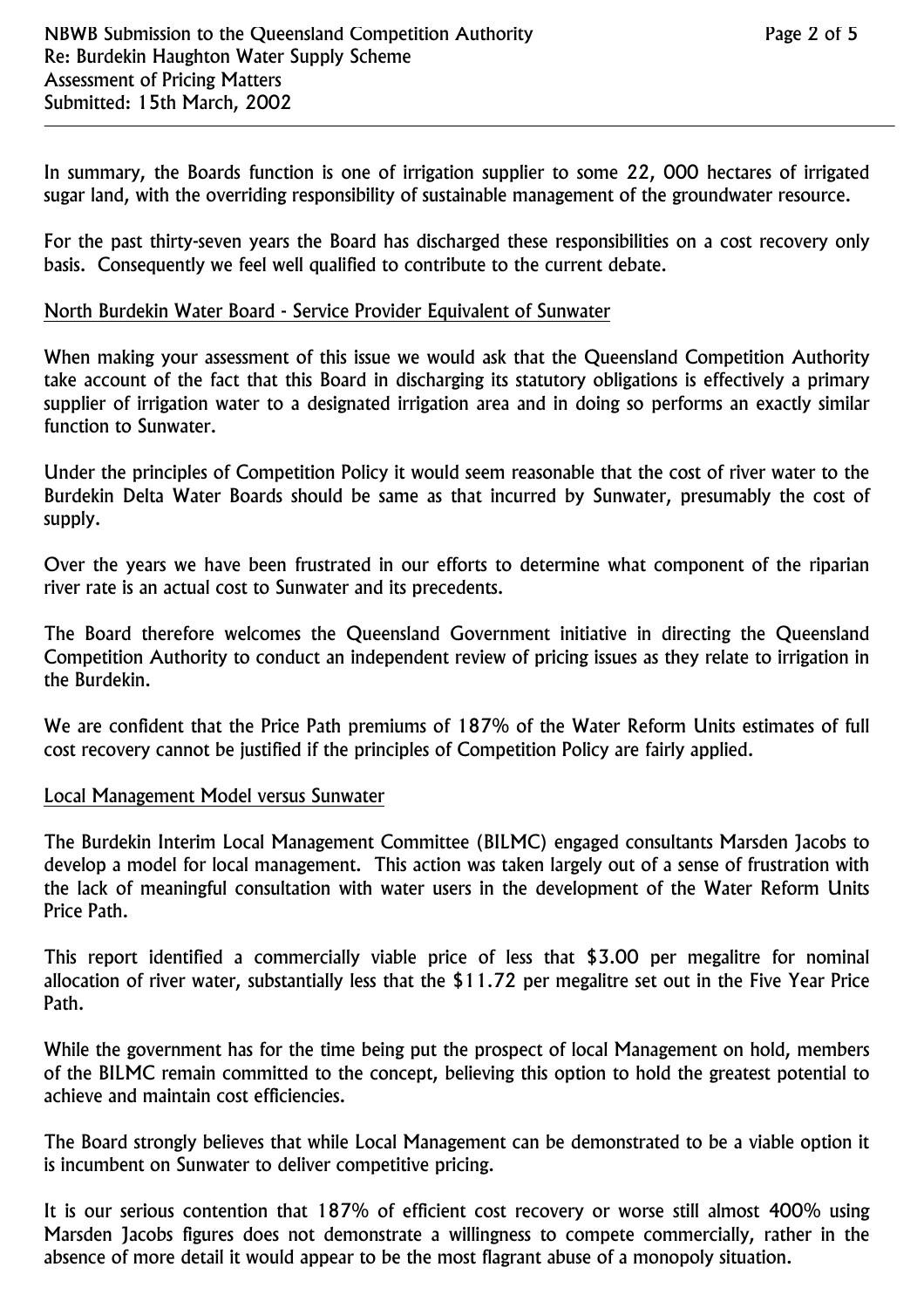In summary, the Boards function is one of irrigation supplier to some 22, 000 hectares of irrigated sugar land, with the overriding responsibility of sustainable management of the groundwater resource.

For the past thirty-seven years the Board has discharged these responsibilities on a cost recovery only basis. Consequently we feel well qualified to contribute to the current debate.

#### North Burdekin Water Board - Service Provider Equivalent of Sunwater

When making your assessment of this issue we would ask that the Queensland Competition Authority take account of the fact that this Board in discharging its statutory obligations is effectively a primary supplier of irrigation water to a designated irrigation area and in doing so performs an exactly similar function to Sunwater.

Under the principles of Competition Policy it would seem reasonable that the cost of river water to the Burdekin Delta Water Boards should be same as that incurred by Sunwater, presumably the cost of supply.

Over the years we have been frustrated in our efforts to determine what component of the riparian river rate is an actual cost to Sunwater and its precedents.

The Board therefore welcomes the Queensland Government initiative in directing the Queensland Competition Authority to conduct an independent review of pricing issues as they relate to irrigation in the Burdekin.

We are confident that the Price Path premiums of 187% of the Water Reform Units estimates of full cost recovery cannot be justified if the principles of Competition Policy are fairly applied.

#### Local Management Model versus Sunwater

The Burdekin Interim Local Management Committee (BILMC) engaged consultants Marsden Jacobs to develop a model for local management. This action was taken largely out of a sense of frustration with the lack of meaningful consultation with water users in the development of the Water Reform Units Price Path.

This report identified a commercially viable price of less that \$3.00 per megalitre for nominal allocation of river water, substantially less that the \$11.72 per megalitre set out in the Five Year Price Path.

While the government has for the time being put the prospect of local Management on hold, members of the BILMC remain committed to the concept, believing this option to hold the greatest potential to achieve and maintain cost efficiencies.

The Board strongly believes that while Local Management can be demonstrated to be a viable option it is incumbent on Sunwater to deliver competitive pricing.

It is our serious contention that 187% of efficient cost recovery or worse still almost 400% using Marsden Jacobs figures does not demonstrate a willingness to compete commercially, rather in the absence of more detail it would appear to be the most flagrant abuse of a monopoly situation.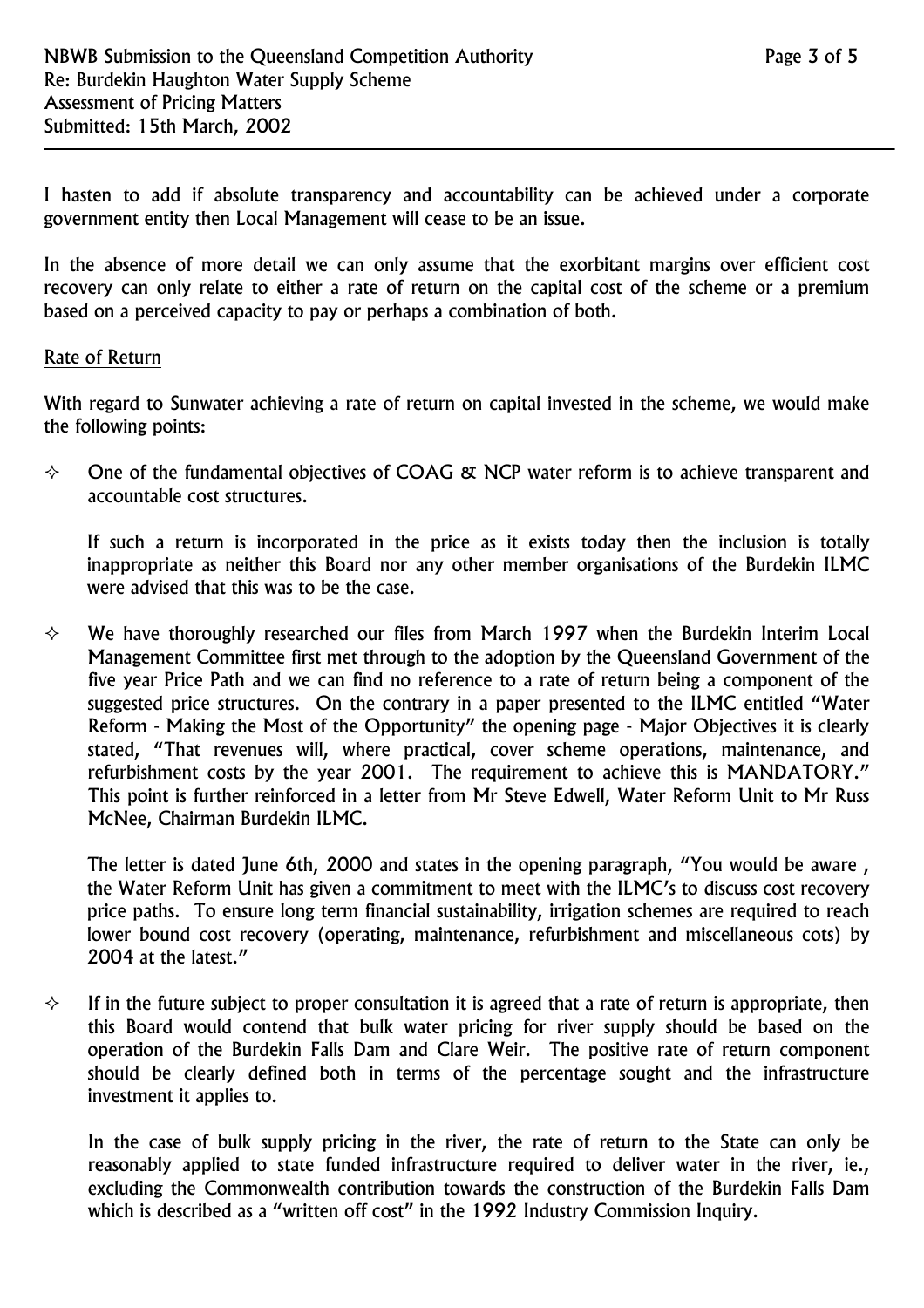I hasten to add if absolute transparency and accountability can be achieved under a corporate government entity then Local Management will cease to be an issue.

In the absence of more detail we can only assume that the exorbitant margins over efficient cost recovery can only relate to either a rate of return on the capital cost of the scheme or a premium based on a perceived capacity to pay or perhaps a combination of both.

#### Rate of Return

With regard to Sunwater achieving a rate of return on capital invested in the scheme, we would make the following points:

 $\diamond$  One of the fundamental objectives of COAG & NCP water reform is to achieve transparent and accountable cost structures.

If such a return is incorporated in the price as it exists today then the inclusion is totally inappropriate as neither this Board nor any other member organisations of the Burdekin ILMC were advised that this was to be the case.

 $\diamond$  We have thoroughly researched our files from March 1997 when the Burdekin Interim Local Management Committee first met through to the adoption by the Queensland Government of the five year Price Path and we can find no reference to a rate of return being a component of the suggested price structures. On the contrary in a paper presented to the ILMC entitled "Water Reform - Making the Most of the Opportunity" the opening page - Major Objectives it is clearly stated, "That revenues will, where practical, cover scheme operations, maintenance, and refurbishment costs by the year 2001. The requirement to achieve this is MANDATORY." This point is further reinforced in a letter from Mr Steve Edwell, Water Reform Unit to Mr Russ McNee, Chairman Burdekin ILMC.

The letter is dated June 6th, 2000 and states in the opening paragraph, "You would be aware, the Water Reform Unit has given a commitment to meet with the ILMC's to discuss cost recovery price paths. To ensure long term financial sustainability, irrigation schemes are required to reach lower bound cost recovery (operating, maintenance, refurbishment and miscellaneous cots) by 2004 at the latest."

 $\diamond$  If in the future subject to proper consultation it is agreed that a rate of return is appropriate, then this Board would contend that bulk water pricing for river supply should be based on the operation of the Burdekin Falls Dam and Clare Weir. The positive rate of return component should be clearly defined both in terms of the percentage sought and the infrastructure investment it applies to.

In the case of bulk supply pricing in the river, the rate of return to the State can only be reasonably applied to state funded infrastructure required to deliver water in the river, ie., excluding the Commonwealth contribution towards the construction of the Burdekin Falls Dam which is described as a "written off cost" in the 1992 Industry Commission Inquiry.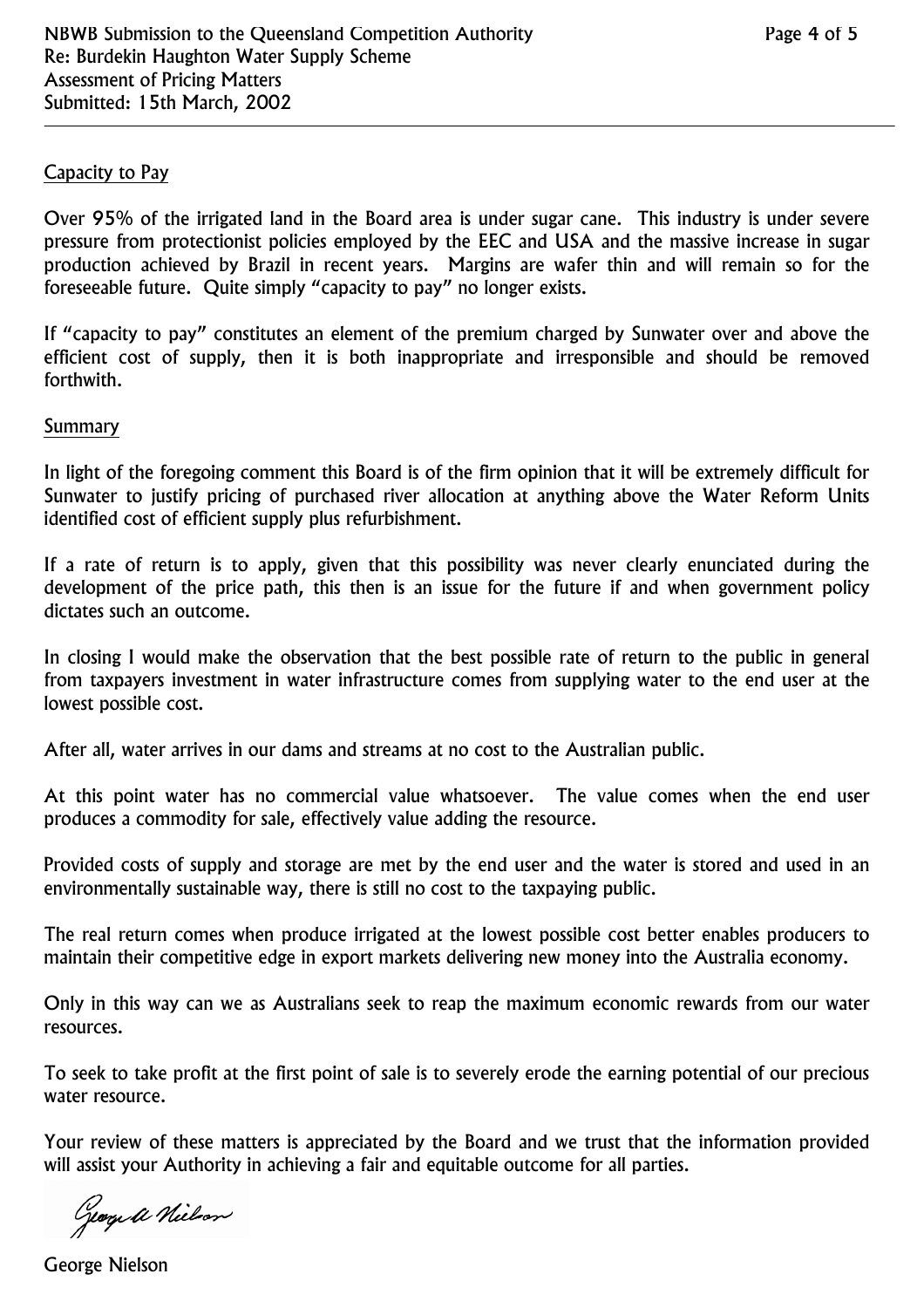#### Capacity to Pay

Over 95% of the irrigated land in the Board area is under sugar cane. This industry is under severe pressure from protectionist policies employed by the EEC and USA and the massive increase in sugar production achieved by Brazil in recent years. Margins are wafer thin and will remain so for the foreseeable future. Quite simply "capacity to pay" no longer exists.

If "capacity to pay" constitutes an element of the premium charged by Sunwater over and above the efficient cost of supply, then it is both inappropriate and irresponsible and should be removed forthwith.

#### Summary

In light of the foregoing comment this Board is of the firm opinion that it will be extremely difficult for Sunwater to justify pricing of purchased river allocation at anything above the Water Reform Units identified cost of efficient supply plus refurbishment.

If a rate of return is to apply, given that this possibility was never clearly enunciated during the development of the price path, this then is an issue for the future if and when government policy dictates such an outcome.

In closing I would make the observation that the best possible rate of return to the public in general from taxpayers investment in water infrastructure comes from supplying water to the end user at the lowest possible cost.

After all, water arrives in our dams and streams at no cost to the Australian public.

At this point water has no commercial value whatsoever. The value comes when the end user produces a commodity for sale, effectively value adding the resource.

Provided costs of supply and storage are met by the end user and the water is stored and used in an environmentally sustainable way, there is still no cost to the taxpaying public.

The real return comes when produce irrigated at the lowest possible cost better enables producers to maintain their competitive edge in export markets delivering new money into the Australia economy.

Only in this way can we as Australians seek to reap the maximum economic rewards from our water resources.

To seek to take profit at the first point of sale is to severely erode the earning potential of our precious water resource.

Your review of these matters is appreciated by the Board and we trust that the information provided will assist your Authority in achieving a fair and equitable outcome for all parties.

George a Nielson

George Nielson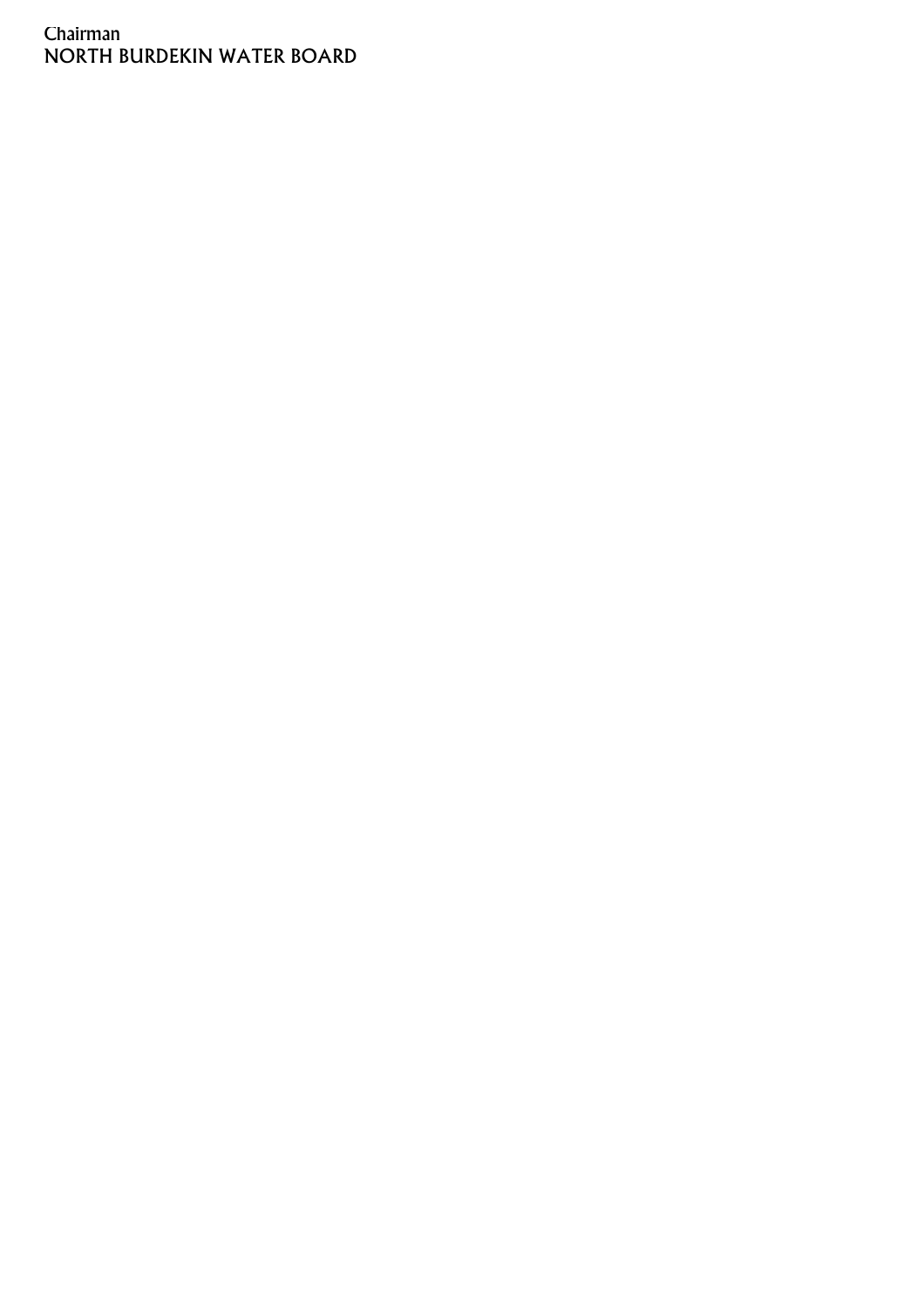#### Chairman NORTH BURDEKIN WATER BOARD